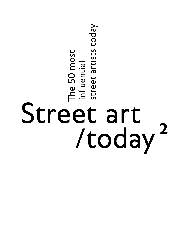# Street art today **<sup>2</sup>** The 50 most influential street artists today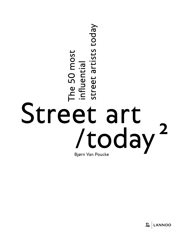## Street art today **<sup>2</sup>** The 50 most influential street artists today Bjørn Van Poucke

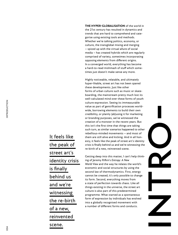**THE HYPER-GLOBALISATION** of the world in the 21st century has resulted in dynamics and trends that are hard to comprehend and cate gorise using existing tools and methods. Whether we're talking politics, economy, or culture, the transglobal mixing and merging – spiced up with the virtual allure of social media – has created hybrids which are regularly comprised of variety, sometimes incorporating opposing elements from different origins. In a converged world, everything has become a hard-to-read mishmash of stuff which some times just doesn't make sense any more.

Highly noticeable, relatable, and ultimately hyper-likable, street art has not been spared these developments. Just like other forms of urban culture such as music or skate boarding, the mainstream pretty much lost its well-calculated mind over these forms of youth culture expression. Seeing its immeasurable value as part of gentrification processes world wide, borrowing elements to build their own credibility, or plainly (ab)using it for marketing or branding purposes, we've witnessed the creation of a monster in the recent years. But this isn't the first time that things are taking such turn, as similar scenarios happened to other rebellious-minded movements – and most of them are still alive and kicking. And in all hon esty, it feels like the peak of street art's identity crisis is finally behind us and we're witnessing the re-birth of a new, reinvented scene.

Getting deep into this matter, I can't help think ing of Jeremy Rifkin's *Entropy: A New World View* and the way he relates the world's economic and social structures by using the second law of thermodynamics. First, energy cannot be created; it's only possible to change its form. Second, everything moves from a state of perfection towards chaos. Like all things existing in the universe, the street art culture is also part of this predetermined programme. What started as a spontaneous form of expression by individuals has evolved into a globally recognised movement with a number of different forms and conducts.

the peak of street art's identity crisis the re-birth reinvented

It feels like is finally behind us and we're witnessing of a new,

scene.

intro- $\boldsymbol{\gamma}$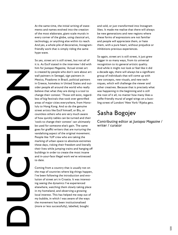At the same time, the initial writing of statements and names evolved into the creation of the most elaborate, giant-scale murals in every corner of the globe, using classical art, technology, or anything else within its reach. And yes, a whole pile of decorative, Instagramfriendly work that is simply riding the same hype wave.

So yes, street art is still street, but not all of it is. As Escif stated in the interview I did with him for *Juxtapoz Magazine,* 'Actual street art is created by people who don't care about art: wall painters in Senegal, sign painters in Mexico, Pixadores in Brazil, political painters in Greece, homeless in United States and outsider people all around the world who really believe that what they are doing is a tool to change their context.' Those still exist, regardless of big festivals that took over gentrified areas of major cities everywhere, from Honolulu to Hong Kong. And so do the genuine street artists like Escif himself, or Blu, or countless others who are very much aware of how quickly tables can be turned and their 'tools to change their context' can ultimately be used for someone else's gain. The same goes for graffiti writers that are nurturing the vandalising aspect of the original movement. People like 1UP crew who are taking the marking of urban space to absolute extremes these days, risking their freedom and literally their lives while jumping trains and hanging off buildings in order to create the most insane and in-your-face illegal work we've witnessed to date.

Coming from a country that is usually not on the map of countries where big things happen, I've been following the introduction and evolution of street art in Croatia. It was interesting seeing the dynamics I've experienced elsewhere, watching them slowly taking place in my homeland, and observing a growing local interest. This has helped me step out of my bubble, in which I was aware of the ways the movement has been institutionalised (more or less successfully), labelled, bought

and sold, or just transformed into Instagram likes. It made me realise that there will always be new generations and new regions where these forms of expressions are not familiar and people will appreciate them, or hate them, with a pure heart, without prejudice or inhibitions previous experiences.

So again, street art is still street, it just grew bigger in so many ways, from its universal recognition to its general artistic quality. And while it might not look or feel like it did a decade ago, there will always be a significant group of individuals that will come up with new concepts, new visuals, and new techniques, which will challenge the viewer and other creatives. Because that is precisely what was happening in the beginning and is still the root of it all, no matter how many likes a selfie-friendly mural of angel wings on a bustling street of London/ New York/ Rijeka gets.

## Sasha Bogojev

Contributing editor at *Juxtapoz Magazine* / writer / curator



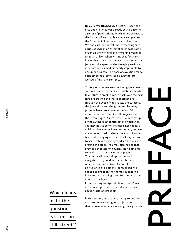**IN 2016 WE RELEASED** *Street Art Today,* the first book in what was already set to become a series of publications, which aimed to retrace the history of art in public space and present the 50 most influential artists of that time. We had curated the volume, presenting cate gories of style in an attempt to impose some order on the writhing and morphing world of street art. Even when writing that first text, it was clear to us that these artists, these pro jects and the speed of the changing environ ment around us made it nearly impossible to document exactly. The pace of evolution made each pinpoint of time sprint away before we could finish any sentence.

Three years on, we are continuing the conversation. Here we present an update, a Chapter II, a return, a small glimpse back over the past three years into the world of street art through the eyes of the artists, the curators, the journalists and the groupies. So many projects have been born in the last 36 months that we cannot do them justice in these few pages. As we present a new group of the 50 most influential artists worldwide, you may notice some changes since the last edition. New names have popped up, and we are super-excited to share the work of some talented emerging artists. How lucky we are to see fresh and exciting works catch our eye around the globe! You may also notice that previous chapters on toyism / naive art and surrealism do not grace these pages. That innovation will simplify the book's navigation for you, dear reader, but also relates to self-reflection. Aware of the polyvalence of all artists represented, we choose to broaden the themes in order to leave more breathing room for their creative minds to navigate.

It feels wrong to pigeonhole or 'freeze' any artist in a rigid style, especially in the fastpaced world of street art.

In this edition, we are very happy to put for ward some new thoughts, projects and artists that represent what we see as growing trends, preface

Which leads us to the question: is street art still 'street'?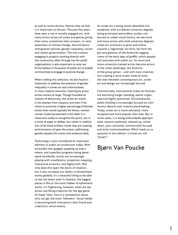as well as some obvious themes that we feel it is important to discuss. The past few years have seen a rise in socially engaged art, with many artists across all styles and genres giving their voice, sometimes their screams, to raise awareness of climate change, discriminatory immigration policies, gender inequality, racism and violent governments. The rise in artists engaging in projects working directly with the community, often through not-for-profit organisations, is also important to note; we firmly believe in the power of public art to enable communities to engage in positive change.

When crafting this selection, we also found it important to address the question of gender inequality in street art and unfortunately in most creative networks, meaning by proxy across society at large. Though founded on notions of democracy, the street art world is not exempt from inequity, and even if we chose to promote a higher percentage of female artists than would typically be shown, women remain underrepresented in this field. It is important today to recognise this point, not in a voice of anger or defeat, but rather in celebration of all those brilliant minds that are creating environments of open discussion, addressing gender equality for artists and audience alike.

Technology is also considered an important element in public art production today. With accessible new gadgets popping up everywhere, and superfast programs being developed worldwide, artists are increasingly playing with installations, projection mapping, interactive artworks, and digital tech. Not only does this open the doors of creation, but it also increases our ability to disseminate works globally. It's a beautiful thing to be able to see the latest walls in Istanbul, the biggest pieces in Rio or the most hidden of ephemeral works. It's frightening, however, when we see artists sacrificing creativity for the ego game of cheap 'likes', hits or a competition about who can get the most 'followers'. Social media is becoming both innovation's best friend and creativity's worst enemy.

As street art is being slowly absorbed into academia, with accredited university degrees being promoted and endless studies conducted on urban visual history, we see more and more artists who hold university degrees. street art continues to grow and evolve towards a 'legitimate' art form, far from the grit and glamour of the American tagging crews of the early days of graffiti, which people still associate with public art. As more and more university-trained artists become actors in the urban landscape, the diversity of the group grows – and with most creatives not creating a 'pure street' body of work, the lines between contemporary art, street art and design are increasingly blurred.

Commercially, international street art festivals are becoming longer standing, better organised and highly sponsored. Simultaneously, public funding is increasingly focused on community identity and 'creative placemaking'. Today, street art is more educated, more accepted and more popular than ever. But in some cases, it is being unfoundedly appropriated, unjustly exploited, cleaned up, toned down, auto-censored, commercially focused and dryly institutionalised. Which leads us to question in this edition: is street art still 'Street'?

### Bjørn Van Poucke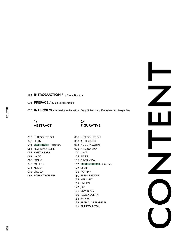#### 004 **INTRODUCTION** / by Sasha Bogojev

- **PREFACE /** by Bjørn Van Poucke 006
- 020 **INTERVIEW /** Anne-Laure Lemaitre, Doug Gillen, Iryna Kanischeva & Martyn Reed

| 17<br><b>ABSTRACT</b>      |         | 21<br><b>FIGURATIVE</b> |
|----------------------------|---------|-------------------------|
|                            |         |                         |
| 038 INTRODUCTION           |         | 086 INTRODUCTION        |
| 040 ELIAN                  |         | 088 ALEX SENNA          |
| 044 ELLEN RUTT - interview |         | 092 ALICE PASOUINI      |
| 054 FELIPE PANTONE         |         | 096 ANDREA WAN          |
| 058 KRISTIN FARR           |         | 100 ARYZ                |
| 062 MADC                   |         | 104 BELIN               |
| 066 MOMO                   |         | 106 CINTA VIDAL         |
| 070 MR. JUNE               |         | 112 MILU CORRECH        |
| 074 NELIO                  |         | 122 ESCIF               |
| 078 OKUDA                  |         | <b>126 FAITH47</b>      |
| 082 ROBERTO CIREDZ         |         | 130 FINTAN MAGEE        |
|                            |         | 134 HERAKUT             |
|                            |         | 138 HYURO               |
|                            | 142 JAZ |                         |
|                            |         | 146 LOW BROS            |

**CTION** AK QUINI **AN** AL RECH - interview AGEE LOW BROS 150 PAOLA DELFIN 154 SAINER 158 SETH GLOBEPAINTER 162 SHERYO & YOK

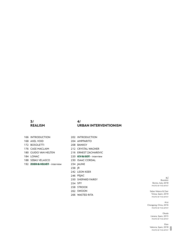#### **3/ REALISM**

- 166 INTRODUCTION 168 AXEL VOID 172 BOSOLETTI 176 CASE MACLAIM 180 GUIDO VAN HELTEN 184 LONAC 188 SEBAS VELASCO 192 ZOER & VELVET - interview
- 202 INTRODUCTION 204 AMPPARITO 208 BANKSY 212 CRYSTAL WAGNER 216 ERNEST ZACHAREVIC 220 ICY & SOT - interview 230 ISAAC CORDAL 234 JAUNE 238 JR 242 LEON KEER 246 PEJAC 250 SHEPARD FAIREY 254 SPY 258 STROOK 262 SWOON WASTED RITA 266

**URBAN INTERVENTIONISM**

**4/** 

**» /**  Bosoletti Bonito, Italy, 2018 PHOTO BY THE ARTIST

Sebas Velasco & Zoer Tolosa, Spain, 2019 PHOTO BY THE ARTIST

Aryz Chongqing, China, 2016 PHOTO BY THE ARTIST

> Okuda Llanera, Spain, 2015 PHOTO BY THE ARTIST

Valencia, Spain, 2018<br>PHOTO BY THE ARTIST Elian PHOTO BY THE ARTIST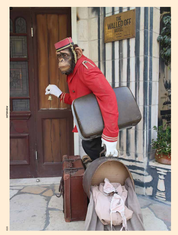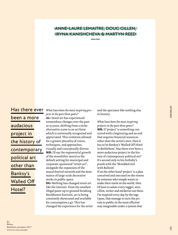#### ANNE-LAURE LEMAITRE, DOUG GILLEN, IRYNA KANISHCHEVA & MARTYN REED

**Interview**

## Has there ever been a more audacious project in the history of contemporary political art other than Banksy's Walled Off Hotel?

*What have been the most inspiring projects in the past three years?* **AL:** Street art has experienced tremendous changes over the past 10-15 years, shifting from a niche alternative scene to an art form which is universally recognised and appreciated. This evolution allowed for a greater plurality of voices, techniques, and approaches, visually and conceptually diverse. **MR:** I'd say the exponential growth of the monolithic mural as the default setting for municipal and corporate-sponsored "street art", alongside the expansion of the mural festival network and the dominance of large-scale decorative works in public space. **DG:** Nothing has changed street art like the internet. From the smallest illegal paste-up to ground-breaking blockbuster festivals, art is being constantly showcased and available for consumption 24/7. This has changed the experience for the artist

and the spectator like nothing else in history.

*What have been the most inspiring projects in the past three years?* **MR:** If 'project' is something conceived with a beginning and an end that requires financial resources other than the artist's own, then it has to be Banksy's 'Walled Off Hotel in Bethlehem'. Has there ever been a more audacious project in the history of contemporary political art? It's second only to his Sotheby's prank with the 'Shredded Girl with Balloon'.

If on the other hand 'project' is a plan conceived and executed on the streets by someone who simply wants to make their mark on the world, then I'd have to salute every tagger, stencillist, writer and stickerist out there. I'm inspired every day by the tags I pass, that manage to turn the private to public in the most efficient way imaginable under a system that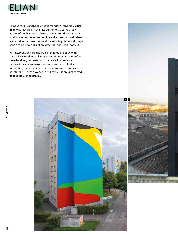

Famous for his bright geometric murals, Argentinian artist Elian was featured in the last edition of *Street Art Today* as one of the leaders in abstract street art. His large-scale works have continued to dominate the international urban art world as he moves forward, developing his craft through sensitive observations of architectural and social context.

His interventions are the fruit of studied dialogue with the architectural lines. Though the bright colours are often breath-taking, he takes particular care in creating a harmonious environment for the passers-by. 'I find it interesting that a person in his usual routine becomes a spectator / user of a work of art. I think it is an unexpected encounter with creativity.'

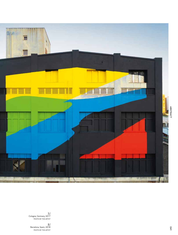

**1 /**  Cologne, Germany, 2017 PHOTO BY THE ARTIST

**2 /**  Barcelona, Spain, 2018 PHOTO BY THE ARTIST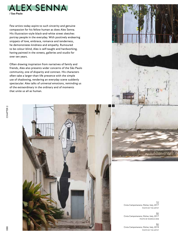

Few artists today aspire to such sincerity and genuine compassion for his fellow human as does Alex Senna. His illustration-style black-and-white street sketches portray people in the everyday. With positively endearing snippets of love, embrace, romance and tenderness, he demonstrates kindness and empathy. Rumoured to be colour-blind, Alex is self-taught and hardworking, having painted in the streets, galleries and studio for over ten years.

Often drawing inspiration from narratives of family and friends, Alex also presents wider concerns of the São Paulo community, one of disparity and contrast. His characters often take a larger-than-life presence with the simple use of shadowing, rendering an everyday scene suddenly spectacular. Alex talks of universal emotions, reminding us of the extraordinary in the ordinary and of moments that unite us all as human.









**1 /**  Civita Campomarano, Molise, Italy, 2017 PHOTO BY THE ARTIST

**2 /**  Civita Campomarano, Molise, Italy, 2017 PHOTO BY RODRIGO ERIB

**3 /**  Civita Campomarano, Molise, Italy, 2019 PHOTO BY THE ARTIST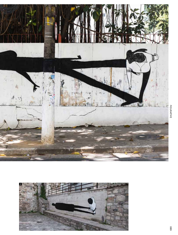

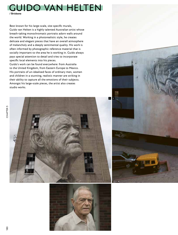

Best known for his large-scale, site-specific murals, Guido van Helten is a highly talented Australian artist whose breath-taking monochromatic portraits adorn walls around the world. Working in a photorealistic style, he creates delicate and elegant pieces that have an overall atmosphere of melancholy and a deeply sentimental quality. His work is often informed by photographic reference material that is socially important to the area he is working in. Guido always pays special attention to detail and tries to incorporate specific local elements into his pieces.

Guido's work can be found everywhere: from Australia to the United Kingdom, from Eastern Europe to Mexico. His portraits of un-idealised faces of ordinary men, women and children in a stunning, realistic manner are striking in their ability to capture all the emotions of their subjects. Amongst his large-scale pieces, the artist also creates studio works.





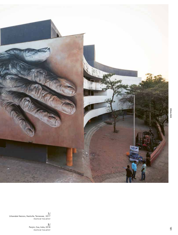

**1 /** Urbandale Nations, Nashville, Tennessee, 2017 PHOTO BY THE ARTIST

> **2 /** Panjim, Goa, India, 2018 PHOTO BY THE ARTIST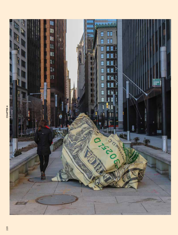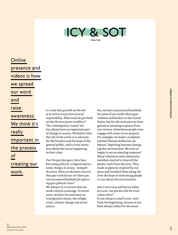

**Online** presence and videos is how we spread our word and raise awareness. We think it's really important in the process of creating our work.

*It is clear that you both see the role of an artist as a position of social responsibility. What issues do you think art has the most power to address?* The contemporary issues! Art has always been an important part of change in society. We believe that the role of the artist is to advocate for the freedom and the hope of the general public, and to raise awareness about the issues happening in their time.

*Over the past few years, there have been many political, ecological and economic changes in society – many for the worse. What are the main concerns that your work focuses on? Have you ever encountered backlash for expressing your political views?* We always try to ensure that our work conveys a message. In recent years, we have focused more on immigration issues, the refugee crisis, climate change and social justice.

Yes, we have encountered backlash for some of our works about gun violence and borders in the United States, but for the most part we have gained an amazing response from our viewers. Sometimes people even engage with some of our projects. For example, we made a sculpture entitled 'Human Reflection on Nature', depicting humans damaging the environment. We were so happy to see an amazing response! Many volunteers and community members started to clean all the plastic trash from the river. They made sculptures inspired by our piece and installed them along the river the hope of motivating people to care about the environment.

*Iran is not a very well-known urban art scene. Can you describe the street culture there?*

It was always a small scene, even from the beginning, because it has been always riskier for the street